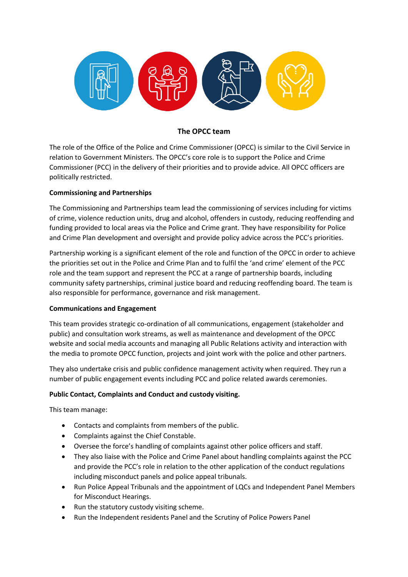

# **The OPCC team**

The role of the Office of the Police and Crime Commissioner (OPCC) is similar to the Civil Service in relation to Government Ministers. The OPCC's core role is to support the Police and Crime Commissioner (PCC) in the delivery of their priorities and to provide advice. All OPCC officers are politically restricted.

## **Commissioning and Partnerships**

The Commissioning and Partnerships team lead the commissioning of services including for victims of crime, violence reduction units, drug and alcohol, offenders in custody, reducing reoffending and funding provided to local areas via the Police and Crime grant. They have responsibility for Police and Crime Plan development and oversight and provide policy advice across the PCC's priorities.

Partnership working is a significant element of the role and function of the OPCC in order to achieve the priorities set out in the Police and Crime Plan and to fulfil the 'and crime' element of the PCC role and the team support and represent the PCC at a range of partnership boards, including community safety partnerships, criminal justice board and reducing reoffending board. The team is also responsible for performance, governance and risk management.

#### **Communications and Engagement**

This team provides strategic co-ordination of all communications, engagement (stakeholder and public) and consultation work streams, as well as maintenance and development of the OPCC website and social media accounts and managing all Public Relations activity and interaction with the media to promote OPCC function, projects and joint work with the police and other partners.

They also undertake crisis and public confidence management activity when required. They run a number of public engagement events including PCC and police related awards ceremonies.

#### **Public Contact, Complaints and Conduct and custody visiting.**

This team manage:

- Contacts and complaints from members of the public.
- Complaints against the Chief Constable.
- Oversee the force's handling of complaints against other police officers and staff.
- They also liaise with the Police and Crime Panel about handling complaints against the PCC and provide the PCC's role in relation to the other application of the conduct regulations including misconduct panels and police appeal tribunals.
- Run Police Appeal Tribunals and the appointment of LQCs and Independent Panel Members for Misconduct Hearings.
- Run the statutory custody visiting scheme.
- Run the Independent residents Panel and the Scrutiny of Police Powers Panel